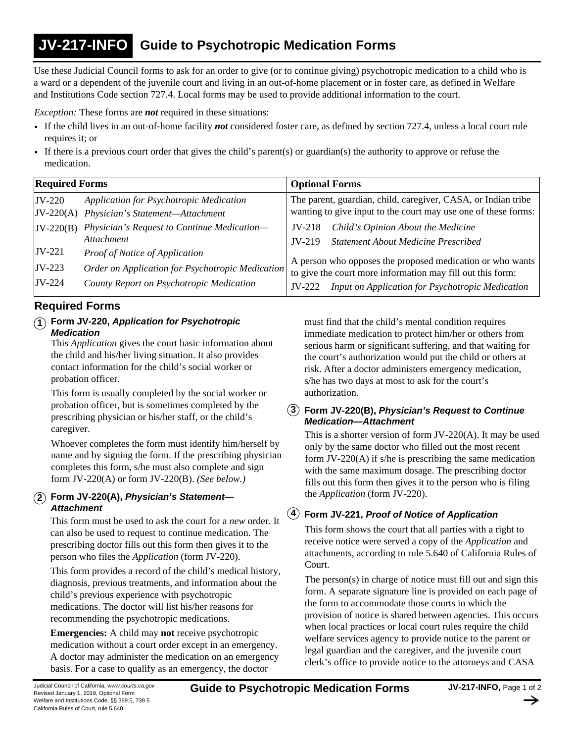#### **Guide to Psychotropic Medication Forms JV-217-INFO**

Use these Judicial Council forms to ask for an order to give (or to continue giving) psychotropic medication to a child who is a ward or a dependent of the juvenile court and living in an out-of-home placement or in foster care, as defined in Welfare and Institutions Code section 727.4. Local forms may be used to provide additional information to the court.

*Exception:* These forms are *not* required in these situations:

- If the child lives in an out-of-home facility *not* considered foster care, as defined by section 727.4, unless a local court rule requires it; or
- If there is a previous court order that gives the child's parent(s) or guardian(s) the authority to approve or refuse the medication.

| <b>Required Forms</b> |                                                  | <b>Optional Forms</b>                                                                                                   |
|-----------------------|--------------------------------------------------|-------------------------------------------------------------------------------------------------------------------------|
| $JV-220$              | Application for Psychotropic Medication          | The parent, guardian, child, caregiver, CASA, or Indian tribe                                                           |
| $JV-220(A)$           | Physician's Statement-Attachment                 | wanting to give input to the court may use one of these forms:                                                          |
| $JV-220(B)$           | Physician's Request to Continue Medication-      | Child's Opinion About the Medicine<br>$JV-218$                                                                          |
|                       | <i>Attachment</i>                                | <b>Statement About Medicine Prescribed</b><br>$IV-219$                                                                  |
| $ JV-221 $            | <b>Proof of Notice of Application</b>            |                                                                                                                         |
| $JV-223$              | Order on Application for Psychotropic Medication | A person who opposes the proposed medication or who wants<br>to give the court more information may fill out this form: |
| $JV-224$              | County Report on Psychotropic Medication         |                                                                                                                         |
|                       |                                                  | Input on Application for Psychotropic Medication<br>$JV-222$                                                            |

## **Required Forms**

## **1 Form JV-220,** *Application for Psychotropic Medication*

This *Application* gives the court basic information about the child and his/her living situation. It also provides contact information for the child's social worker or probation officer.

This form is usually completed by the social worker or probation officer, but is sometimes completed by the prescribing physician or his/her staff, or the child's caregiver.

Whoever completes the form must identify him/herself by name and by signing the form. If the prescribing physician completes this form, s/he must also complete and sign form JV-220(A) or form JV-220(B). *(See below.)*

## **2 Form JV-220(A),** *Physician's Statement— Attachment*

This form must be used to ask the court for a *new* order. It can also be used to request to continue medication. The prescribing doctor fills out this form then gives it to the person who files the *Application* (form JV-220).

This form provides a record of the child's medical history, diagnosis, previous treatments, and information about the child's previous experience with psychotropic medications. The doctor will list his/her reasons for recommending the psychotropic medications.

**Emergencies:** A child may **not** receive psychotropic medication without a court order except in an emergency. A doctor may administer the medication on an emergency basis. For a case to qualify as an emergency, the doctor

must find that the child's mental condition requires immediate medication to protect him/her or others from serious harm or significant suffering, and that waiting for the court's authorization would put the child or others at risk. After a doctor administers emergency medication, s/he has two days at most to ask for the court's authorization.

### **3 Form JV-220(B),** *Physician's Request to Continue Medication—Attachment*

This is a shorter version of form JV-220(A). It may be used only by the same doctor who filled out the most recent form JV-220(A) if s/he is prescribing the same medication with the same maximum dosage. The prescribing doctor fills out this form then gives it to the person who is filing the *Application* (form JV-220).

## **4 Form JV-221,** *Proof of Notice of Application*

This form shows the court that all parties with a right to receive notice were served a copy of the *Application* and attachments, according to rule 5.640 of California Rules of Court.

The person(s) in charge of notice must fill out and sign this form. A separate signature line is provided on each page of the form to accommodate those courts in which the provision of notice is shared between agencies. This occurs when local practices or local court rules require the child welfare services agency to provide notice to the parent or legal guardian and the caregiver, and the juvenile court clerk's office to provide notice to the attorneys and CASA